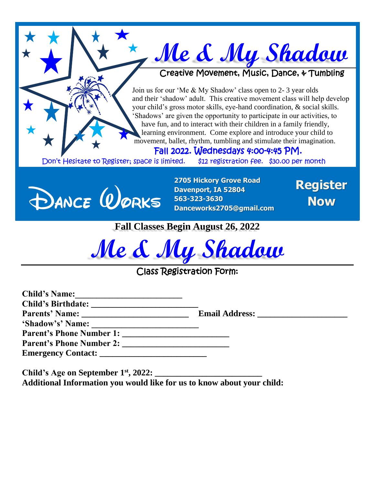## **Me & My Shadow**

## Creative Movement, Music, Dance, & Tumbling

Join us for our 'Me & My Shadow' class open to 2- 3 year olds and their 'shadow' adult. This creative movement class will help develop your child's gross motor skills, eye-hand coordination, & social skills. 'Shadows' are given the opportunity to participate in our activities, to have fun, and to interact with their children in a family friendly, learning environment. Come explore and introduce your child to movement, ballet, rhythm, tumbling and stimulate their imagination.

## Fall 2022. Wednesdays 4:00-4:45 PM.

Don't Hesitate to Register; space is limited. \$12 registration fee. \$30.00 per month



**2705 Hickory Grove Road Davenport, IA 52804 563-323-3630 Danceworks2705@gmail.com**

**Register Now**

**Fall Classes Begin August 26, 2022**

**Me & My Shadow**

## Class Registration Form:

| <b>Child's Name:</b>                                     |  |
|----------------------------------------------------------|--|
|                                                          |  |
|                                                          |  |
| 'Shadow's' Name:                                         |  |
| <b>Parent's Phone Number 1:</b> Parent's Phone Number 1: |  |
| <b>Parent's Phone Number 2:</b> Parent's Phone Number 2: |  |
|                                                          |  |
|                                                          |  |

**Child's Age on September 1st, 2022: \_\_\_\_\_\_\_\_\_\_\_\_\_\_\_\_\_\_\_\_\_\_\_\_\_ Additional Information you would like for us to know about your child:**